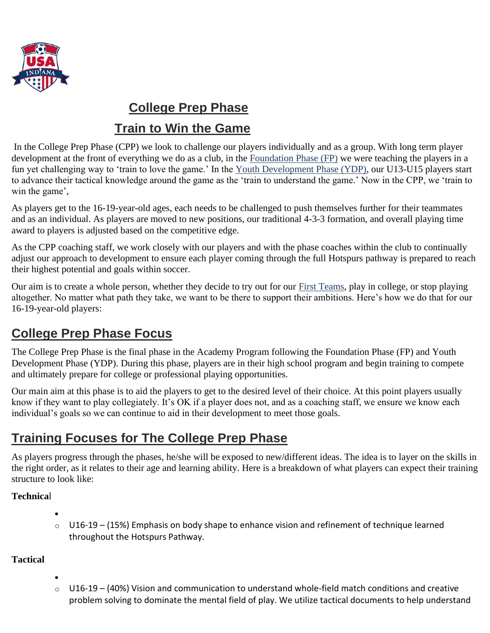

# **College Prep Phase**

### **Train to Win the Game**

In the College Prep Phase (CPP) we look to challenge our players individually and as a group. With long term player development at the front of everything we do as a club, in the [Foundation Phase \(FP\)](https://www.hotspurs-soccer.com/the-phase-model-foundation-phase-train-to-love-the-game/) we were teaching the players in a fun yet challenging way to 'train to love the game.' In the [Youth Development Phase \(YDP\),](https://www.hotspurs-soccer.com/the-phase-model-youth-development-phase-train-to-understand-the-game/) our U13-U15 players start to advance their tactical knowledge around the game as the 'train to understand the game.' Now in the CPP, we 'train to win the game',

As players get to the 16-19-year-old ages, each needs to be challenged to push themselves further for their teammates and as an individual. As players are moved to new positions, our traditional 4-3-3 formation, and overall playing time award to players is adjusted based on the competitive edge.

As the CPP coaching staff, we work closely with our players and with the phase coaches within the club to continually adjust our approach to development to ensure each player coming through the full Hotspurs pathway is prepared to reach their highest potential and goals within soccer.

Our aim is to create a whole person, whether they decide to try out for our [First Teams,](https://www.hotspurs-soccer.com/first-teams/) play in college, or stop playing altogether. No matter what path they take, we want to be there to support their ambitions. Here's how we do that for our 16-19-year-old players:

# **College Prep Phase Focus**

The College Prep Phase is the final phase in the Academy Program following the Foundation Phase (FP) and Youth Development Phase (YDP). During this phase, players are in their high school program and begin training to compete and ultimately prepare for college or professional playing opportunities.

Our main aim at this phase is to aid the players to get to the desired level of their choice. At this point players usually know if they want to play collegiately. It's OK if a player does not, and as a coaching staff, we ensure we know each individual's goals so we can continue to aid in their development to meet those goals.

# **Training Focuses for The College Prep Phase**

As players progress through the phases, he/she will be exposed to new/different ideas. The idea is to layer on the skills in the right order, as it relates to their age and learning ability. Here is a breakdown of what players can expect their training structure to look like:

### **Technica**l

- - $\circ$  U16-19 (15%) Emphasis on body shape to enhance vision and refinement of technique learned throughout the Hotspurs Pathway.

#### **Tactical**

- - o U16-19 (40%) Vision and communication to understand whole-field match conditions and creative problem solving to dominate the mental field of play. We utilize tactical documents to help understand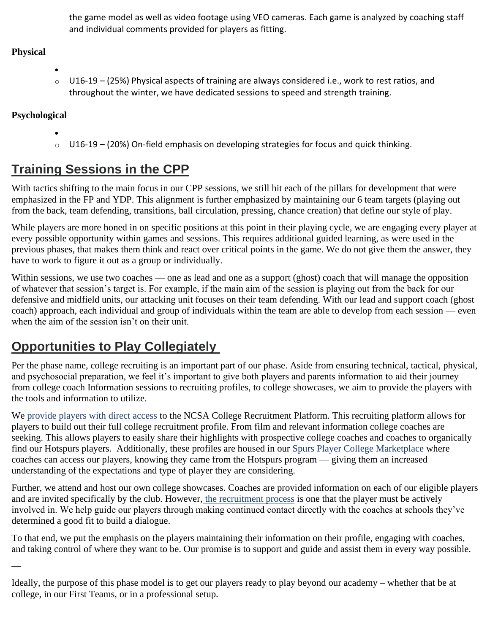the game model as well as video footage using VEO cameras. Each game is analyzed by coaching staff and individual comments provided for players as fitting.

### **Physical**

• o U16-19 – (25%) Physical aspects of training are always considered i.e., work to rest ratios, and throughout the winter, we have dedicated sessions to speed and strength training.

### **Psychological**

 $\overline{\phantom{a}}$ 

•  $\circ$  U16-19 – (20%) On-field emphasis on developing strategies for focus and quick thinking.

# **Training Sessions in the CPP**

With tactics shifting to the main focus in our CPP sessions, we still hit each of the pillars for development that were emphasized in the FP and YDP. This alignment is further emphasized by maintaining our 6 team targets (playing out from the back, team defending, transitions, ball circulation, pressing, chance creation) that define our style of play.

While players are more honed in on specific positions at this point in their playing cycle, we are engaging every player at every possible opportunity within games and sessions. This requires additional guided learning, as were used in the previous phases, that makes them think and react over critical points in the game. We do not give them the answer, they have to work to figure it out as a group or individually.

Within sessions, we use two coaches — one as lead and one as a support (ghost) coach that will manage the opposition of whatever that session's target is. For example, if the main aim of the session is playing out from the back for our defensive and midfield units, our attacking unit focuses on their team defending. With our lead and support coach (ghost coach) approach, each individual and group of individuals within the team are able to develop from each session — even when the aim of the session isn't on their unit.

# **Opportunities to Play Collegiately**

Per the phase name, college recruiting is an important part of our phase. Aside from ensuring technical, tactical, physical, and psychosocial preparation, we feel it's important to give both players and parents information to aid their journey from college coach Information sessions to recruiting profiles, to college showcases, we aim to provide the players with the tools and information to utilize.

We [provide players with direct access](https://www.hotspurs-soccer.com/hotspurs-player-hub/) to the NCSA College Recruitment Platform. This recruiting platform allows for players to build out their full college recruitment profile. From film and relevant information college coaches are seeking. This allows players to easily share their highlights with prospective college coaches and coaches to organically find our Hotspurs players. Additionally, these profiles are housed in our [Spurs Player College Marketplace](https://www.hotspurs-soccer.com/recruitment-home-page/) where coaches can access our players, knowing they came from the Hotspurs program — giving them an increased understanding of the expectations and type of player they are considering.

Further, we attend and host our own college showcases. Coaches are provided information on each of our eligible players and are invited specifically by the club. However, [the recruitment process](https://www.hotspurs-soccer.com/confessions-of-a-soccer-mom-the-college-recruiting-process/) is one that the player must be actively involved in. We help guide our players through making continued contact directly with the coaches at schools they've determined a good fit to build a dialogue.

To that end, we put the emphasis on the players maintaining their information on their profile, engaging with coaches, and taking control of where they want to be. Our promise is to support and guide and assist them in every way possible.

Ideally, the purpose of this phase model is to get our players ready to play beyond our academy – whether that be at college, in our First Teams, or in a professional setup.